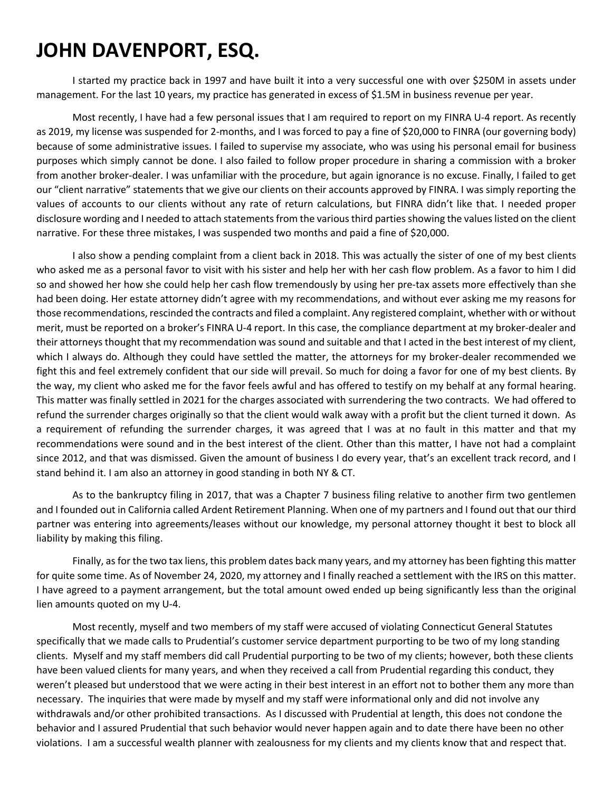## **JOHN DAVENPORT, ESQ.**

I started my practice back in 1997 and have built it into a very successful one with over \$250M in assets under management. For the last 10 years, my practice has generated in excess of \$1.5M in business revenue per year.

Most recently, I have had a few personal issues that I am required to report on my FINRA U-4 report. As recently as 2019, my license was suspended for 2-months, and I was forced to pay a fine of \$20,000 to FINRA (our governing body) because of some administrative issues. I failed to supervise my associate, who was using his personal email for business purposes which simply cannot be done. I also failed to follow proper procedure in sharing a commission with a broker from another broker-dealer. I was unfamiliar with the procedure, but again ignorance is no excuse. Finally, I failed to get our "client narrative" statements that we give our clients on their accounts approved by FINRA. I was simply reporting the values of accounts to our clients without any rate of return calculations, but FINRA didn't like that. I needed proper disclosure wording and I needed to attach statements from the various third parties showing the values listed on the client narrative. For these three mistakes, I was suspended two months and paid a fine of \$20,000.

I also show a pending complaint from a client back in 2018. This was actually the sister of one of my best clients who asked me as a personal favor to visit with his sister and help her with her cash flow problem. As a favor to him I did so and showed her how she could help her cash flow tremendously by using her pre-tax assets more effectively than she had been doing. Her estate attorney didn't agree with my recommendations, and without ever asking me my reasons for those recommendations, rescinded the contracts and filed a complaint. Any registered complaint, whether with or without merit, must be reported on a broker's FINRA U-4 report. In this case, the compliance department at my broker-dealer and their attorneys thought that my recommendation was sound and suitable and that I acted in the best interest of my client, which I always do. Although they could have settled the matter, the attorneys for my broker-dealer recommended we fight this and feel extremely confident that our side will prevail. So much for doing a favor for one of my best clients. By the way, my client who asked me for the favor feels awful and has offered to testify on my behalf at any formal hearing. This matter was finally settled in 2021 for the charges associated with surrendering the two contracts. We had offered to refund the surrender charges originally so that the client would walk away with a profit but the client turned it down. As a requirement of refunding the surrender charges, it was agreed that I was at no fault in this matter and that my recommendations were sound and in the best interest of the client. Other than this matter, I have not had a complaint since 2012, and that was dismissed. Given the amount of business I do every year, that's an excellent track record, and I stand behind it. I am also an attorney in good standing in both NY & CT.

As to the bankruptcy filing in 2017, that was a Chapter 7 business filing relative to another firm two gentlemen and I founded out in California called Ardent Retirement Planning. When one of my partners and I found out that our third partner was entering into agreements/leases without our knowledge, my personal attorney thought it best to block all liability by making this filing.

Finally, as for the two tax liens, this problem dates back many years, and my attorney has been fighting this matter for quite some time. As of November 24, 2020, my attorney and I finally reached a settlement with the IRS on this matter. I have agreed to a payment arrangement, but the total amount owed ended up being significantly less than the original lien amounts quoted on my U-4.

Most recently, myself and two members of my staff were accused of violating Connecticut General Statutes specifically that we made calls to Prudential's customer service department purporting to be two of my long standing clients. Myself and my staff members did call Prudential purporting to be two of my clients; however, both these clients have been valued clients for many years, and when they received a call from Prudential regarding this conduct, they weren't pleased but understood that we were acting in their best interest in an effort not to bother them any more than necessary. The inquiries that were made by myself and my staff were informational only and did not involve any withdrawals and/or other prohibited transactions. As I discussed with Prudential at length, this does not condone the behavior and I assured Prudential that such behavior would never happen again and to date there have been no other violations. I am a successful wealth planner with zealousness for my clients and my clients know that and respect that.